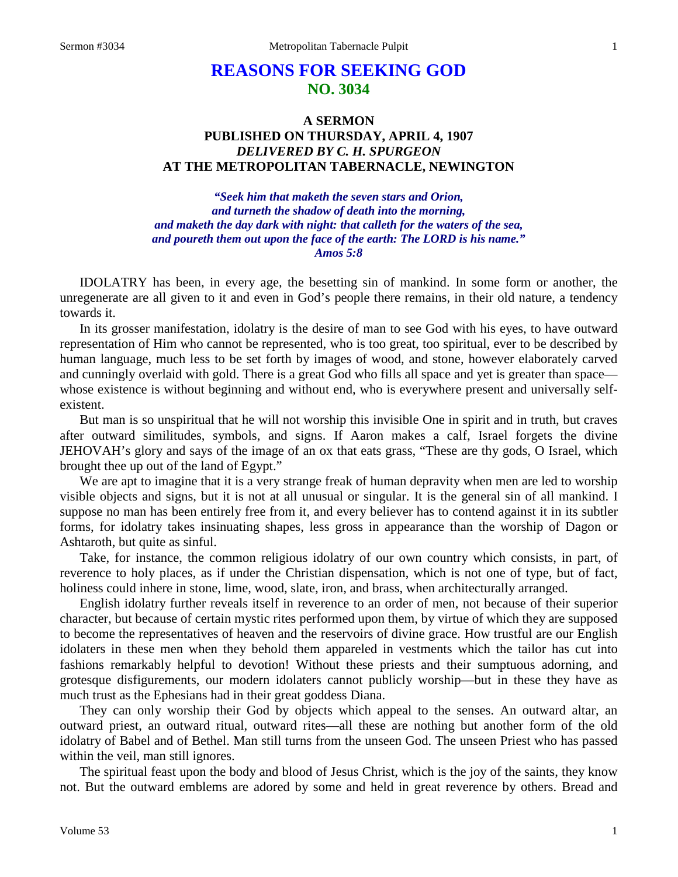# **REASONS FOR SEEKING GOD NO. 3034**

# **A SERMON PUBLISHED ON THURSDAY, APRIL 4, 1907** *DELIVERED BY C. H. SPURGEON* **AT THE METROPOLITAN TABERNACLE, NEWINGTON**

*"Seek him that maketh the seven stars and Orion, and turneth the shadow of death into the morning, and maketh the day dark with night: that calleth for the waters of the sea, and poureth them out upon the face of the earth: The LORD is his name." Amos 5:8*

IDOLATRY has been, in every age, the besetting sin of mankind. In some form or another, the unregenerate are all given to it and even in God's people there remains, in their old nature, a tendency towards it.

In its grosser manifestation, idolatry is the desire of man to see God with his eyes, to have outward representation of Him who cannot be represented, who is too great, too spiritual, ever to be described by human language, much less to be set forth by images of wood, and stone, however elaborately carved and cunningly overlaid with gold. There is a great God who fills all space and yet is greater than space whose existence is without beginning and without end, who is everywhere present and universally selfexistent.

But man is so unspiritual that he will not worship this invisible One in spirit and in truth, but craves after outward similitudes, symbols, and signs. If Aaron makes a calf, Israel forgets the divine JEHOVAH's glory and says of the image of an ox that eats grass*,* "These are thy gods, O Israel, which brought thee up out of the land of Egypt."

We are apt to imagine that it is a very strange freak of human depravity when men are led to worship visible objects and signs, but it is not at all unusual or singular. It is the general sin of all mankind. I suppose no man has been entirely free from it, and every believer has to contend against it in its subtler forms, for idolatry takes insinuating shapes, less gross in appearance than the worship of Dagon or Ashtaroth, but quite as sinful.

Take, for instance, the common religious idolatry of our own country which consists, in part, of reverence to holy places, as if under the Christian dispensation, which is not one of type, but of fact, holiness could inhere in stone, lime, wood, slate, iron, and brass, when architecturally arranged.

English idolatry further reveals itself in reverence to an order of men, not because of their superior character, but because of certain mystic rites performed upon them, by virtue of which they are supposed to become the representatives of heaven and the reservoirs of divine grace. How trustful are our English idolaters in these men when they behold them appareled in vestments which the tailor has cut into fashions remarkably helpful to devotion! Without these priests and their sumptuous adorning, and grotesque disfigurements, our modern idolaters cannot publicly worship—but in these they have as much trust as the Ephesians had in their great goddess Diana.

They can only worship their God by objects which appeal to the senses. An outward altar, an outward priest, an outward ritual, outward rites—all these are nothing but another form of the old idolatry of Babel and of Bethel. Man still turns from the unseen God. The unseen Priest who has passed within the veil, man still ignores.

The spiritual feast upon the body and blood of Jesus Christ, which is the joy of the saints, they know not. But the outward emblems are adored by some and held in great reverence by others. Bread and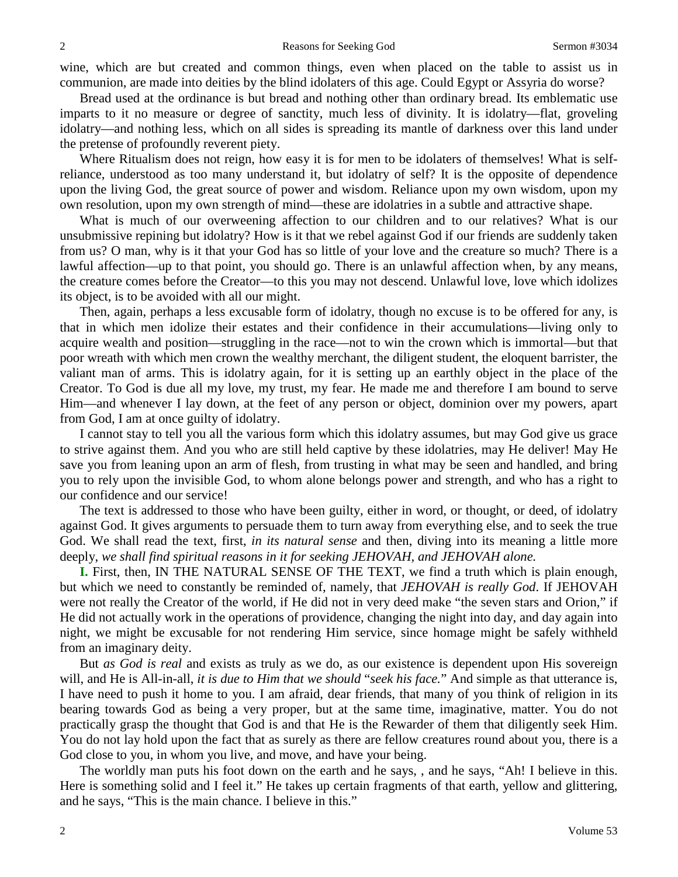wine, which are but created and common things, even when placed on the table to assist us in communion, are made into deities by the blind idolaters of this age. Could Egypt or Assyria do worse?

Bread used at the ordinance is but bread and nothing other than ordinary bread. Its emblematic use imparts to it no measure or degree of sanctity, much less of divinity. It is idolatry—flat, groveling idolatry—and nothing less, which on all sides is spreading its mantle of darkness over this land under the pretense of profoundly reverent piety.

Where Ritualism does not reign, how easy it is for men to be idolaters of themselves! What is selfreliance, understood as too many understand it, but idolatry of self? It is the opposite of dependence upon the living God, the great source of power and wisdom. Reliance upon my own wisdom, upon my own resolution, upon my own strength of mind—these are idolatries in a subtle and attractive shape.

What is much of our overweening affection to our children and to our relatives? What is our unsubmissive repining but idolatry? How is it that we rebel against God if our friends are suddenly taken from us? O man, why is it that your God has so little of your love and the creature so much? There is a lawful affection—up to that point, you should go. There is an unlawful affection when, by any means, the creature comes before the Creator—to this you may not descend. Unlawful love, love which idolizes its object, is to be avoided with all our might.

Then, again, perhaps a less excusable form of idolatry, though no excuse is to be offered for any, is that in which men idolize their estates and their confidence in their accumulations—living only to acquire wealth and position—struggling in the race—not to win the crown which is immortal—but that poor wreath with which men crown the wealthy merchant, the diligent student, the eloquent barrister, the valiant man of arms. This is idolatry again, for it is setting up an earthly object in the place of the Creator. To God is due all my love, my trust, my fear. He made me and therefore I am bound to serve Him—and whenever I lay down, at the feet of any person or object, dominion over my powers, apart from God, I am at once guilty of idolatry.

I cannot stay to tell you all the various form which this idolatry assumes, but may God give us grace to strive against them. And you who are still held captive by these idolatries, may He deliver! May He save you from leaning upon an arm of flesh, from trusting in what may be seen and handled, and bring you to rely upon the invisible God, to whom alone belongs power and strength, and who has a right to our confidence and our service!

The text is addressed to those who have been guilty, either in word, or thought, or deed, of idolatry against God. It gives arguments to persuade them to turn away from everything else, and to seek the true God. We shall read the text, first, *in its natural sense* and then, diving into its meaning a little more deeply, *we shall find spiritual reasons in it for seeking JEHOVAH, and JEHOVAH alone.* 

**I.** First, then, IN THE NATURAL SENSE OF THE TEXT, we find a truth which is plain enough, but which we need to constantly be reminded of, namely, that *JEHOVAH is really God*. If JEHOVAH were not really the Creator of the world, if He did not in very deed make "the seven stars and Orion," if He did not actually work in the operations of providence, changing the night into day, and day again into night, we might be excusable for not rendering Him service, since homage might be safely withheld from an imaginary deity.

But *as God is real* and exists as truly as we do, as our existence is dependent upon His sovereign will, and He is All-in-all, *it is due to Him that we should "seek his face.*" And simple as that utterance is, I have need to push it home to you. I am afraid, dear friends, that many of you think of religion in its bearing towards God as being a very proper, but at the same time, imaginative, matter. You do not practically grasp the thought that God is and that He is the Rewarder of them that diligently seek Him. You do not lay hold upon the fact that as surely as there are fellow creatures round about you, there is a God close to you, in whom you live, and move, and have your being.

The worldly man puts his foot down on the earth and he says, , and he says, "Ah! I believe in this. Here is something solid and I feel it." He takes up certain fragments of that earth, yellow and glittering, and he says, "This is the main chance. I believe in this."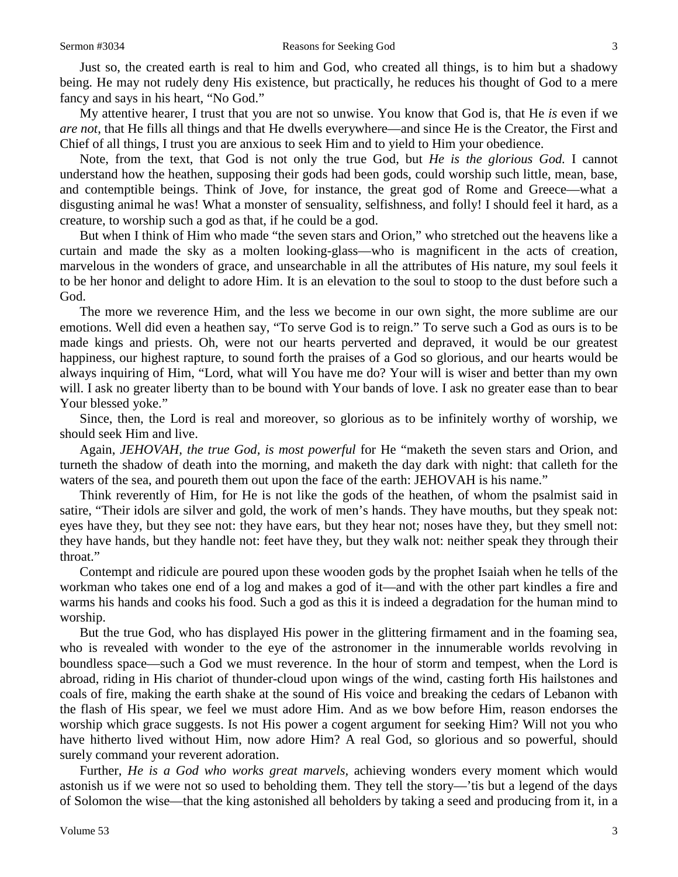Just so, the created earth is real to him and God, who created all things, is to him but a shadowy being. He may not rudely deny His existence, but practically, he reduces his thought of God to a mere fancy and says in his heart, "No God."

My attentive hearer, I trust that you are not so unwise. You know that God is, that He *is* even if we *are not*, that He fills all things and that He dwells everywhere—and since He is the Creator, the First and Chief of all things, I trust you are anxious to seek Him and to yield to Him your obedience.

Note, from the text, that God is not only the true God, but *He is the glorious God.* I cannot understand how the heathen, supposing their gods had been gods, could worship such little, mean, base, and contemptible beings. Think of Jove, for instance, the great god of Rome and Greece—what a disgusting animal he was! What a monster of sensuality, selfishness, and folly! I should feel it hard, as a creature, to worship such a god as that, if he could be a god.

But when I think of Him who made "the seven stars and Orion," who stretched out the heavens like a curtain and made the sky as a molten looking-glass—who is magnificent in the acts of creation, marvelous in the wonders of grace, and unsearchable in all the attributes of His nature, my soul feels it to be her honor and delight to adore Him. It is an elevation to the soul to stoop to the dust before such a God.

The more we reverence Him, and the less we become in our own sight, the more sublime are our emotions. Well did even a heathen say, "To serve God is to reign." To serve such a God as ours is to be made kings and priests. Oh, were not our hearts perverted and depraved, it would be our greatest happiness, our highest rapture, to sound forth the praises of a God so glorious, and our hearts would be always inquiring of Him, "Lord, what will You have me do? Your will is wiser and better than my own will. I ask no greater liberty than to be bound with Your bands of love. I ask no greater ease than to bear Your blessed yoke."

Since, then, the Lord is real and moreover, so glorious as to be infinitely worthy of worship, we should seek Him and live.

Again, *JEHOVAH, the true God, is most powerful* for He "maketh the seven stars and Orion, and turneth the shadow of death into the morning, and maketh the day dark with night: that calleth for the waters of the sea, and poureth them out upon the face of the earth: JEHOVAH is his name."

Think reverently of Him, for He is not like the gods of the heathen, of whom the psalmist said in satire, "Their idols are silver and gold, the work of men's hands. They have mouths, but they speak not: eyes have they, but they see not: they have ears, but they hear not; noses have they, but they smell not: they have hands, but they handle not: feet have they, but they walk not: neither speak they through their throat."

Contempt and ridicule are poured upon these wooden gods by the prophet Isaiah when he tells of the workman who takes one end of a log and makes a god of it—and with the other part kindles a fire and warms his hands and cooks his food. Such a god as this it is indeed a degradation for the human mind to worship.

But the true God, who has displayed His power in the glittering firmament and in the foaming sea, who is revealed with wonder to the eye of the astronomer in the innumerable worlds revolving in boundless space—such a God we must reverence. In the hour of storm and tempest, when the Lord is abroad, riding in His chariot of thunder-cloud upon wings of the wind, casting forth His hailstones and coals of fire, making the earth shake at the sound of His voice and breaking the cedars of Lebanon with the flash of His spear, we feel we must adore Him. And as we bow before Him, reason endorses the worship which grace suggests. Is not His power a cogent argument for seeking Him? Will not you who have hitherto lived without Him, now adore Him? A real God, so glorious and so powerful, should surely command your reverent adoration.

Further, *He is a God who works great marvels,* achieving wonders every moment which would astonish us if we were not so used to beholding them. They tell the story—'tis but a legend of the days of Solomon the wise—that the king astonished all beholders by taking a seed and producing from it, in a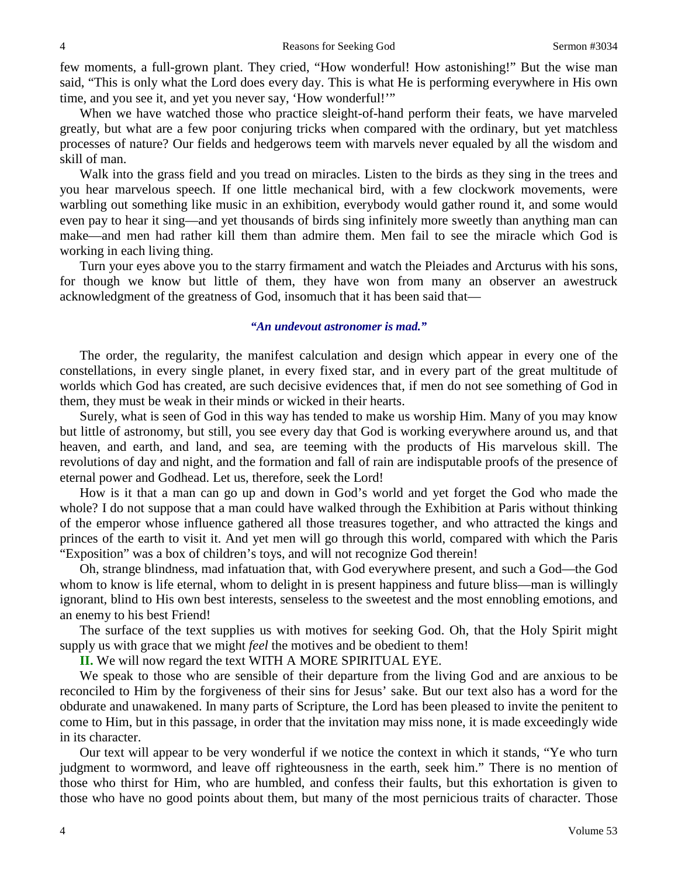few moments, a full-grown plant. They cried, "How wonderful! How astonishing!" But the wise man said, "This is only what the Lord does every day. This is what He is performing everywhere in His own time, and you see it, and yet you never say, 'How wonderful!'"

When we have watched those who practice sleight-of-hand perform their feats, we have marveled greatly, but what are a few poor conjuring tricks when compared with the ordinary, but yet matchless processes of nature? Our fields and hedgerows teem with marvels never equaled by all the wisdom and skill of man.

Walk into the grass field and you tread on miracles. Listen to the birds as they sing in the trees and you hear marvelous speech. If one little mechanical bird, with a few clockwork movements, were warbling out something like music in an exhibition, everybody would gather round it, and some would even pay to hear it sing—and yet thousands of birds sing infinitely more sweetly than anything man can make—and men had rather kill them than admire them. Men fail to see the miracle which God is working in each living thing.

Turn your eyes above you to the starry firmament and watch the Pleiades and Arcturus with his sons, for though we know but little of them, they have won from many an observer an awestruck acknowledgment of the greatness of God, insomuch that it has been said that—

#### *"An undevout astronomer is mad."*

The order, the regularity, the manifest calculation and design which appear in every one of the constellations, in every single planet, in every fixed star, and in every part of the great multitude of worlds which God has created, are such decisive evidences that, if men do not see something of God in them, they must be weak in their minds or wicked in their hearts.

Surely, what is seen of God in this way has tended to make us worship Him. Many of you may know but little of astronomy, but still, you see every day that God is working everywhere around us, and that heaven, and earth, and land, and sea, are teeming with the products of His marvelous skill. The revolutions of day and night, and the formation and fall of rain are indisputable proofs of the presence of eternal power and Godhead. Let us, therefore, seek the Lord!

How is it that a man can go up and down in God's world and yet forget the God who made the whole? I do not suppose that a man could have walked through the Exhibition at Paris without thinking of the emperor whose influence gathered all those treasures together, and who attracted the kings and princes of the earth to visit it. And yet men will go through this world, compared with which the Paris "Exposition" was a box of children's toys, and will not recognize God therein!

Oh, strange blindness, mad infatuation that, with God everywhere present, and such a God—the God whom to know is life eternal, whom to delight in is present happiness and future bliss—man is willingly ignorant, blind to His own best interests, senseless to the sweetest and the most ennobling emotions, and an enemy to his best Friend!

The surface of the text supplies us with motives for seeking God. Oh, that the Holy Spirit might supply us with grace that we might *feel* the motives and be obedient to them!

**II.** We will now regard the text WITH A MORE SPIRITUAL EYE.

We speak to those who are sensible of their departure from the living God and are anxious to be reconciled to Him by the forgiveness of their sins for Jesus' sake. But our text also has a word for the obdurate and unawakened. In many parts of Scripture, the Lord has been pleased to invite the penitent to come to Him, but in this passage, in order that the invitation may miss none, it is made exceedingly wide in its character.

Our text will appear to be very wonderful if we notice the context in which it stands, "Ye who turn judgment to wormword, and leave off righteousness in the earth, seek him." There is no mention of those who thirst for Him, who are humbled, and confess their faults, but this exhortation is given to those who have no good points about them, but many of the most pernicious traits of character. Those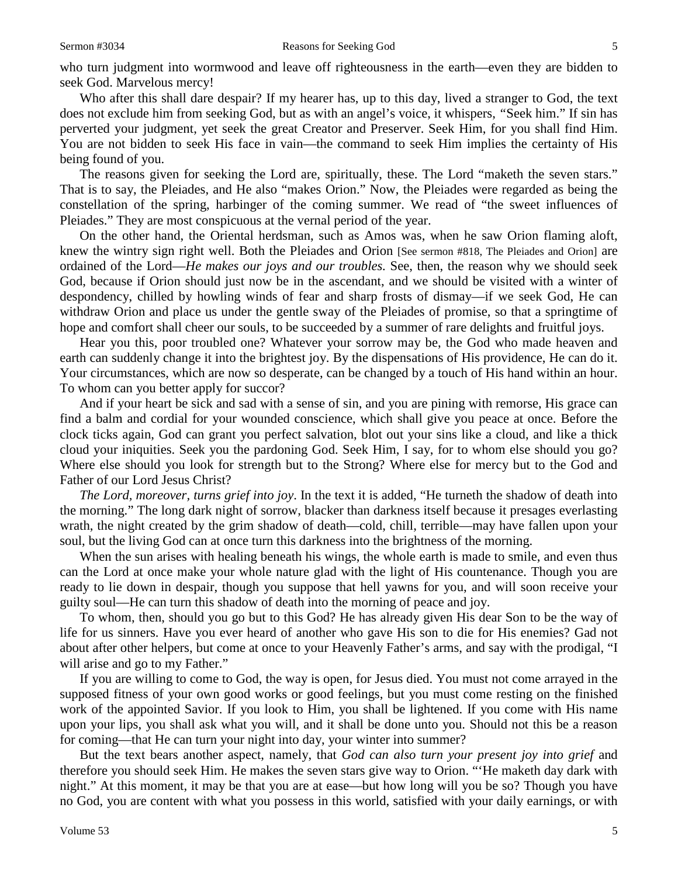who turn judgment into wormwood and leave off righteousness in the earth—even they are bidden to seek God. Marvelous mercy!

Who after this shall dare despair? If my hearer has, up to this day, lived a stranger to God, the text does not exclude him from seeking God, but as with an angel's voice, it whispers, *"*Seek him." If sin has perverted your judgment, yet seek the great Creator and Preserver. Seek Him, for you shall find Him. You are not bidden to seek His face in vain—the command to seek Him implies the certainty of His being found of you.

The reasons given for seeking the Lord are, spiritually, these. The Lord "maketh the seven stars." That is to say, the Pleiades, and He also "makes Orion." Now, the Pleiades were regarded as being the constellation of the spring, harbinger of the coming summer. We read of "the sweet influences of Pleiades." They are most conspicuous at the vernal period of the year.

On the other hand, the Oriental herdsman, such as Amos was, when he saw Orion flaming aloft, knew the wintry sign right well. Both the Pleiades and Orion [See sermon #818, The Pleiades and Orion] are ordained of the Lord—*He makes our joys and our troubles.* See, then, the reason why we should seek God, because if Orion should just now be in the ascendant, and we should be visited with a winter of despondency, chilled by howling winds of fear and sharp frosts of dismay—if we seek God, He can withdraw Orion and place us under the gentle sway of the Pleiades of promise, so that a springtime of hope and comfort shall cheer our souls, to be succeeded by a summer of rare delights and fruitful joys.

Hear you this, poor troubled one? Whatever your sorrow may be, the God who made heaven and earth can suddenly change it into the brightest joy. By the dispensations of His providence, He can do it. Your circumstances, which are now so desperate, can be changed by a touch of His hand within an hour. To whom can you better apply for succor?

And if your heart be sick and sad with a sense of sin, and you are pining with remorse, His grace can find a balm and cordial for your wounded conscience, which shall give you peace at once. Before the clock ticks again, God can grant you perfect salvation, blot out your sins like a cloud, and like a thick cloud your iniquities. Seek you the pardoning God. Seek Him, I say, for to whom else should you go? Where else should you look for strength but to the Strong? Where else for mercy but to the God and Father of our Lord Jesus Christ?

*The Lord, moreover, turns grief into joy*. In the text it is added, "He turneth the shadow of death into the morning." The long dark night of sorrow, blacker than darkness itself because it presages everlasting wrath, the night created by the grim shadow of death—cold, chill, terrible—may have fallen upon your soul, but the living God can at once turn this darkness into the brightness of the morning.

When the sun arises with healing beneath his wings, the whole earth is made to smile, and even thus can the Lord at once make your whole nature glad with the light of His countenance. Though you are ready to lie down in despair, though you suppose that hell yawns for you, and will soon receive your guilty soul—He can turn this shadow of death into the morning of peace and joy.

To whom, then, should you go but to this God? He has already given His dear Son to be the way of life for us sinners. Have you ever heard of another who gave His son to die for His enemies? Gad not about after other helpers, but come at once to your Heavenly Father's arms, and say with the prodigal, "I will arise and go to my Father."

If you are willing to come to God, the way is open, for Jesus died. You must not come arrayed in the supposed fitness of your own good works or good feelings, but you must come resting on the finished work of the appointed Savior. If you look to Him, you shall be lightened. If you come with His name upon your lips, you shall ask what you will, and it shall be done unto you. Should not this be a reason for coming—that He can turn your night into day, your winter into summer?

But the text bears another aspect, namely, that *God can also turn your present joy into grief* and therefore you should seek Him. He makes the seven stars give way to Orion. "'He maketh day dark with night." At this moment, it may be that you are at ease—but how long will you be so? Though you have no God, you are content with what you possess in this world, satisfied with your daily earnings, or with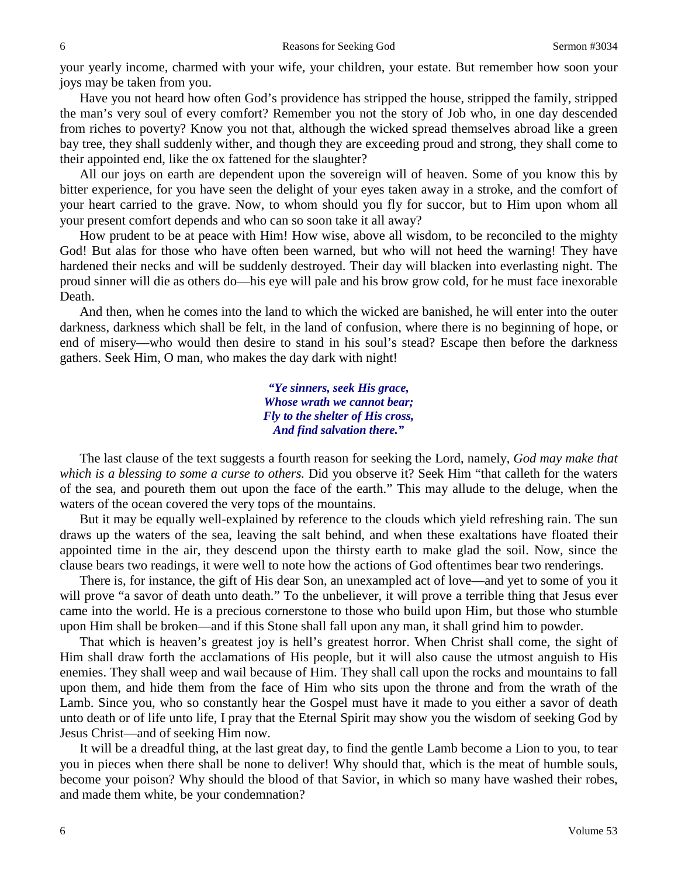your yearly income, charmed with your wife, your children, your estate. But remember how soon your joys may be taken from you.

Have you not heard how often God's providence has stripped the house, stripped the family, stripped the man's very soul of every comfort? Remember you not the story of Job who, in one day descended from riches to poverty? Know you not that, although the wicked spread themselves abroad like a green bay tree, they shall suddenly wither, and though they are exceeding proud and strong, they shall come to their appointed end, like the ox fattened for the slaughter?

All our joys on earth are dependent upon the sovereign will of heaven. Some of you know this by bitter experience, for you have seen the delight of your eyes taken away in a stroke, and the comfort of your heart carried to the grave. Now, to whom should you fly for succor, but to Him upon whom all your present comfort depends and who can so soon take it all away?

How prudent to be at peace with Him! How wise, above all wisdom, to be reconciled to the mighty God! But alas for those who have often been warned, but who will not heed the warning! They have hardened their necks and will be suddenly destroyed. Their day will blacken into everlasting night. The proud sinner will die as others do—his eye will pale and his brow grow cold, for he must face inexorable Death.

And then, when he comes into the land to which the wicked are banished, he will enter into the outer darkness, darkness which shall be felt, in the land of confusion, where there is no beginning of hope, or end of misery—who would then desire to stand in his soul's stead? Escape then before the darkness gathers. Seek Him, O man, who makes the day dark with night!

> *"Ye sinners, seek His grace, Whose wrath we cannot bear; Fly to the shelter of His cross, And find salvation there."*

The last clause of the text suggests a fourth reason for seeking the Lord, namely, *God may make that which is a blessing to some a curse to others.* Did you observe it? Seek Him "that calleth for the waters of the sea, and poureth them out upon the face of the earth." This may allude to the deluge, when the waters of the ocean covered the very tops of the mountains.

But it may be equally well-explained by reference to the clouds which yield refreshing rain. The sun draws up the waters of the sea, leaving the salt behind, and when these exaltations have floated their appointed time in the air, they descend upon the thirsty earth to make glad the soil. Now, since the clause bears two readings, it were well to note how the actions of God oftentimes bear two renderings.

There is, for instance, the gift of His dear Son, an unexampled act of love—and yet to some of you it will prove "a savor of death unto death." To the unbeliever, it will prove a terrible thing that Jesus ever came into the world. He is a precious cornerstone to those who build upon Him, but those who stumble upon Him shall be broken—and if this Stone shall fall upon any man, it shall grind him to powder.

That which is heaven's greatest joy is hell's greatest horror. When Christ shall come, the sight of Him shall draw forth the acclamations of His people, but it will also cause the utmost anguish to His enemies. They shall weep and wail because of Him. They shall call upon the rocks and mountains to fall upon them, and hide them from the face of Him who sits upon the throne and from the wrath of the Lamb. Since you, who so constantly hear the Gospel must have it made to you either a savor of death unto death or of life unto life, I pray that the Eternal Spirit may show you the wisdom of seeking God by Jesus Christ—and of seeking Him now.

It will be a dreadful thing, at the last great day, to find the gentle Lamb become a Lion to you, to tear you in pieces when there shall be none to deliver! Why should that, which is the meat of humble souls, become your poison? Why should the blood of that Savior, in which so many have washed their robes, and made them white, be your condemnation?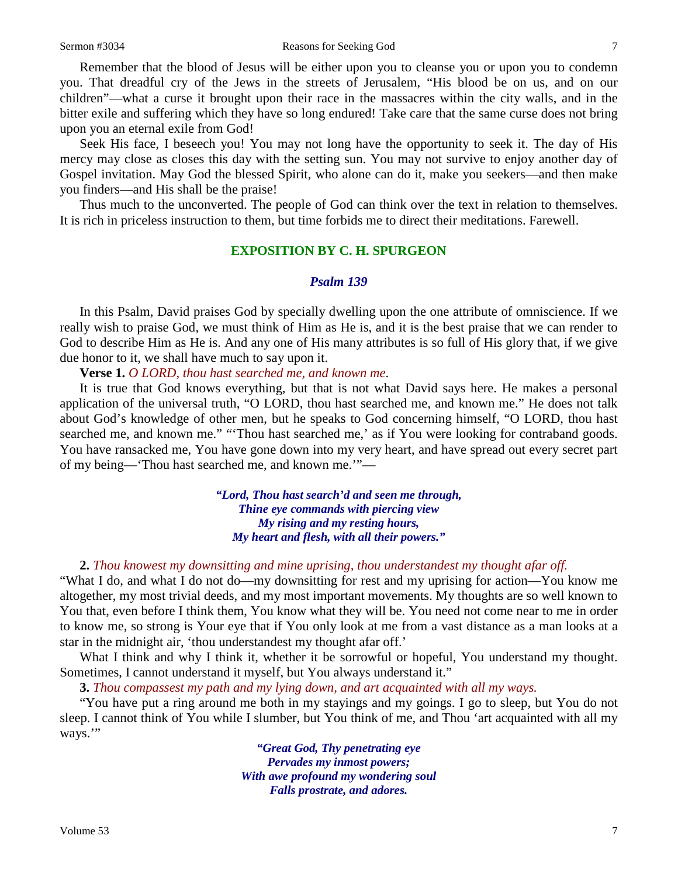Remember that the blood of Jesus will be either upon you to cleanse you or upon you to condemn you. That dreadful cry of the Jews in the streets of Jerusalem, "His blood be on us, and on our children"—what a curse it brought upon their race in the massacres within the city walls, and in the bitter exile and suffering which they have so long endured! Take care that the same curse does not bring upon you an eternal exile from God!

Seek His face, I beseech you! You may not long have the opportunity to seek it. The day of His mercy may close as closes this day with the setting sun. You may not survive to enjoy another day of Gospel invitation. May God the blessed Spirit, who alone can do it, make you seekers—and then make you finders—and His shall be the praise!

Thus much to the unconverted. The people of God can think over the text in relation to themselves. It is rich in priceless instruction to them, but time forbids me to direct their meditations. Farewell.

## **EXPOSITION BY C. H. SPURGEON**

#### *Psalm 139*

In this Psalm, David praises God by specially dwelling upon the one attribute of omniscience. If we really wish to praise God, we must think of Him as He is, and it is the best praise that we can render to God to describe Him as He is. And any one of His many attributes is so full of His glory that, if we give due honor to it, we shall have much to say upon it.

**Verse 1.** *O LORD, thou hast searched me, and known me*.

It is true that God knows everything, but that is not what David says here. He makes a personal application of the universal truth, "O LORD, thou hast searched me, and known me." He does not talk about God's knowledge of other men, but he speaks to God concerning himself, "O LORD, thou hast searched me, and known me." "'Thou hast searched me,' as if You were looking for contraband goods. You have ransacked me, You have gone down into my very heart, and have spread out every secret part of my being—'Thou hast searched me, and known me.'"—

> *"Lord, Thou hast search'd and seen me through, Thine eye commands with piercing view My rising and my resting hours, My heart and flesh, with all their powers."*

# **2.** *Thou knowest my downsitting and mine uprising, thou understandest my thought afar off.*

"What I do, and what I do not do—my downsitting for rest and my uprising for action—You know me altogether, my most trivial deeds, and my most important movements. My thoughts are so well known to You that, even before I think them, You know what they will be. You need not come near to me in order to know me, so strong is Your eye that if You only look at me from a vast distance as a man looks at a star in the midnight air, 'thou understandest my thought afar off.'

What I think and why I think it, whether it be sorrowful or hopeful, You understand my thought. Sometimes, I cannot understand it myself, but You always understand it."

**3.** *Thou compassest my path and my lying down, and art acquainted with all my ways.*

"You have put a ring around me both in my stayings and my goings. I go to sleep, but You do not sleep. I cannot think of You while I slumber, but You think of me, and Thou 'art acquainted with all my ways."

> *"Great God, Thy penetrating eye Pervades my inmost powers; With awe profound my wondering soul Falls prostrate, and adores.*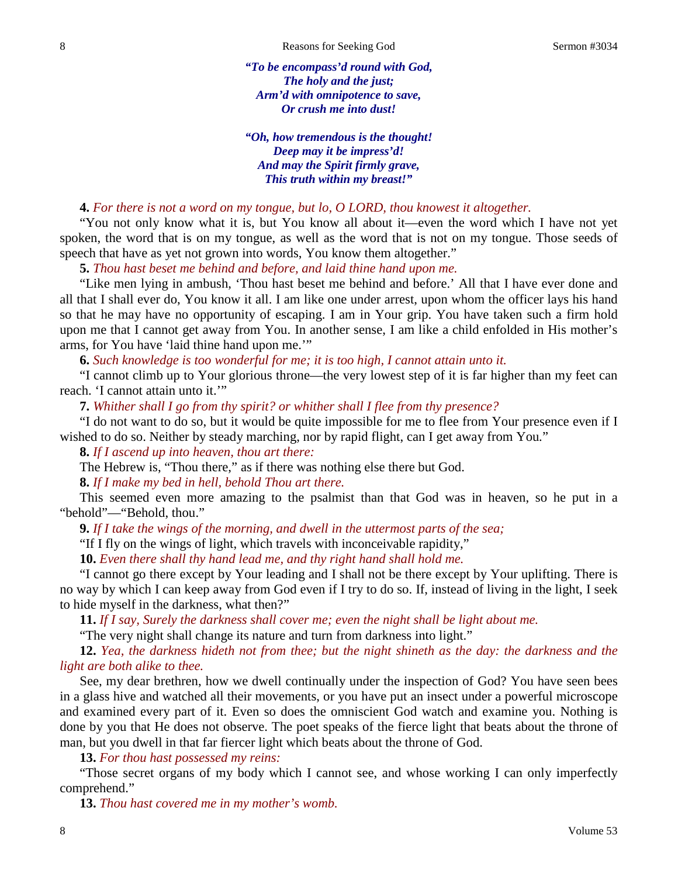*"To be encompass'd round with God, The holy and the just; Arm'd with omnipotence to save, Or crush me into dust!*

*"Oh, how tremendous is the thought! Deep may it be impress'd! And may the Spirit firmly grave, This truth within my breast!"*

## **4.** *For there is not a word on my tongue, but lo, O LORD, thou knowest it altogether.*

"You not only know what it is, but You know all about it—even the word which I have not yet spoken, the word that is on my tongue, as well as the word that is not on my tongue. Those seeds of speech that have as yet not grown into words, You know them altogether."

**5.** *Thou hast beset me behind and before, and laid thine hand upon me.*

"Like men lying in ambush, 'Thou hast beset me behind and before.' All that I have ever done and all that I shall ever do, You know it all. I am like one under arrest, upon whom the officer lays his hand so that he may have no opportunity of escaping. I am in Your grip. You have taken such a firm hold upon me that I cannot get away from You. In another sense, I am like a child enfolded in His mother's arms, for You have 'laid thine hand upon me.'"

**6.** *Such knowledge is too wonderful for me; it is too high, I cannot attain unto it.*

"I cannot climb up to Your glorious throne—the very lowest step of it is far higher than my feet can reach. 'I cannot attain unto it.'"

**7.** *Whither shall I go from thy spirit? or whither shall I flee from thy presence?* 

"I do not want to do so, but it would be quite impossible for me to flee from Your presence even if I wished to do so. Neither by steady marching, nor by rapid flight, can I get away from You*.*"

**8.** *If I ascend up into heaven, thou art there:*

The Hebrew is, "Thou there," as if there was nothing else there but God.

**8.** *If I make my bed in hell, behold Thou art there.*

This seemed even more amazing to the psalmist than that God was in heaven, so he put in a "behold"—"Behold, thou."

**9.** *If I take the wings of the morning, and dwell in the uttermost parts of the sea;*

"If I fly on the wings of light, which travels with inconceivable rapidity,"

**10.** *Even there shall thy hand lead me, and thy right hand shall hold me.*

"I cannot go there except by Your leading and I shall not be there except by Your uplifting. There is no way by which I can keep away from God even if I try to do so. If, instead of living in the light, I seek to hide myself in the darkness, what then?"

**11.** *If I say, Surely the darkness shall cover me; even the night shall be light about me.*

"The very night shall change its nature and turn from darkness into light."

**12.** *Yea, the darkness hideth not from thee; but the night shineth as the day: the darkness and the light are both alike to thee.*

See, my dear brethren, how we dwell continually under the inspection of God? You have seen bees in a glass hive and watched all their movements, or you have put an insect under a powerful microscope and examined every part of it. Even so does the omniscient God watch and examine you. Nothing is done by you that He does not observe. The poet speaks of the fierce light that beats about the throne of man, but you dwell in that far fiercer light which beats about the throne of God.

**13.** *For thou hast possessed my reins:*

"Those secret organs of my body which I cannot see, and whose working I can only imperfectly comprehend."

**13.** *Thou hast covered me in my mother's womb.*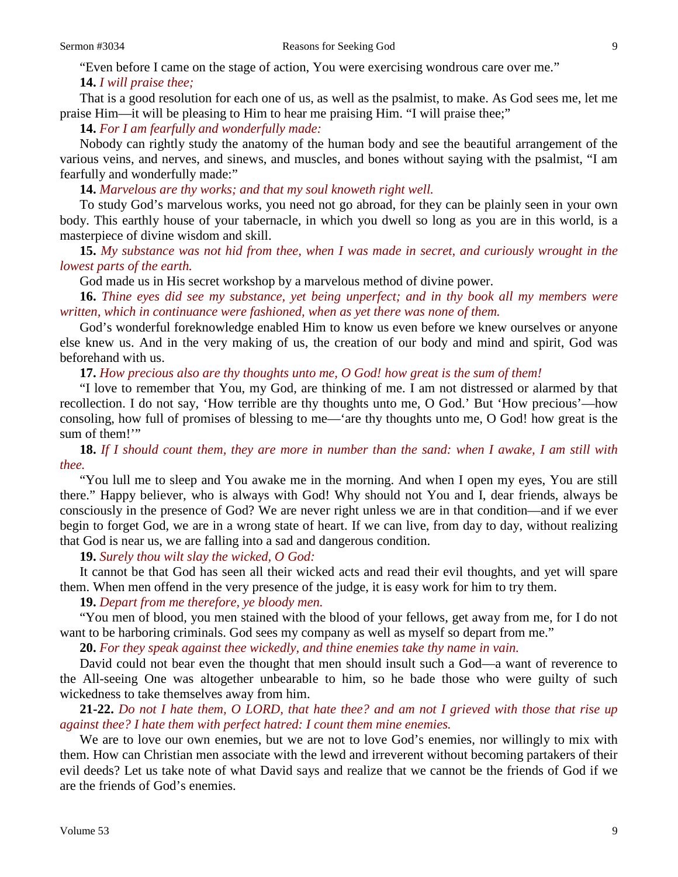"Even before I came on the stage of action, You were exercising wondrous care over me."

# **14.** *I will praise thee;*

That is a good resolution for each one of us, as well as the psalmist, to make. As God sees me, let me praise Him—it will be pleasing to Him to hear me praising Him. "I will praise thee;"

**14.** *For I am fearfully and wonderfully made:*

Nobody can rightly study the anatomy of the human body and see the beautiful arrangement of the various veins, and nerves, and sinews, and muscles, and bones without saying with the psalmist, "I am fearfully and wonderfully made:"

**14.** *Marvelous are thy works; and that my soul knoweth right well.*

To study God's marvelous works, you need not go abroad, for they can be plainly seen in your own body. This earthly house of your tabernacle, in which you dwell so long as you are in this world, is a masterpiece of divine wisdom and skill.

**15.** *My substance was not hid from thee, when I was made in secret, and curiously wrought in the lowest parts of the earth.*

God made us in His secret workshop by a marvelous method of divine power.

**16.** *Thine eyes did see my substance, yet being unperfect; and in thy book all my members were written, which in continuance were fashioned, when as yet there was none of them.*

God's wonderful foreknowledge enabled Him to know us even before we knew ourselves or anyone else knew us. And in the very making of us, the creation of our body and mind and spirit, God was beforehand with us.

**17.** *How precious also are thy thoughts unto me, O God! how great is the sum of them!*

"I love to remember that You, my God, are thinking of me. I am not distressed or alarmed by that recollection. I do not say, 'How terrible are thy thoughts unto me, O God.' But 'How precious'—how consoling, how full of promises of blessing to me—'are thy thoughts unto me, O God! how great is the sum of them!"

**18.** *If I should count them, they are more in number than the sand: when I awake, I am still with thee.*

"You lull me to sleep and You awake me in the morning. And when I open my eyes, You are still there." Happy believer, who is always with God! Why should not You and I, dear friends, always be consciously in the presence of God? We are never right unless we are in that condition—and if we ever begin to forget God, we are in a wrong state of heart. If we can live, from day to day, without realizing that God is near us, we are falling into a sad and dangerous condition.

**19.** *Surely thou wilt slay the wicked, O God:*

It cannot be that God has seen all their wicked acts and read their evil thoughts, and yet will spare them. When men offend in the very presence of the judge, it is easy work for him to try them.

**19.** *Depart from me therefore, ye bloody men.*

"You men of blood, you men stained with the blood of your fellows, get away from me, for I do not want to be harboring criminals. God sees my company as well as myself so depart from me."

**20.** *For they speak against thee wickedly, and thine enemies take thy name in vain.*

David could not bear even the thought that men should insult such a God—a want of reverence to the All-seeing One was altogether unbearable to him, so he bade those who were guilty of such wickedness to take themselves away from him.

**21-22.** *Do not I hate them, O LORD, that hate thee? and am not I grieved with those that rise up against thee? I hate them with perfect hatred: I count them mine enemies.*

We are to love our own enemies, but we are not to love God's enemies, nor willingly to mix with them. How can Christian men associate with the lewd and irreverent without becoming partakers of their evil deeds? Let us take note of what David says and realize that we cannot be the friends of God if we are the friends of God's enemies.